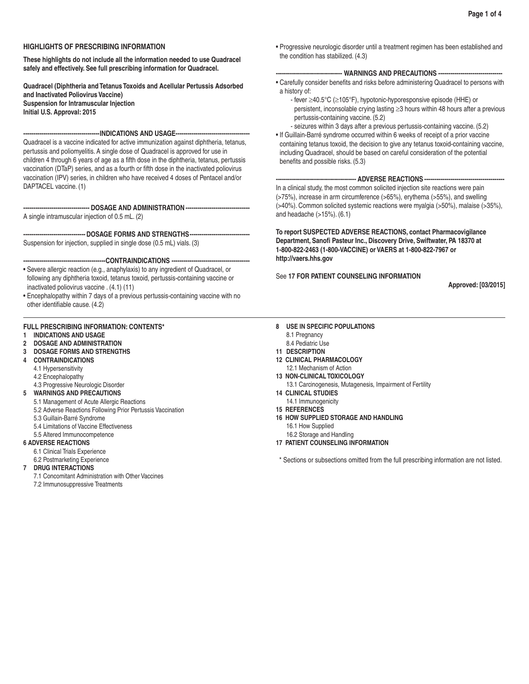# **HIGHLIGHTS OF PRESCRIBING INFORMATION**

**These highlights do not include all the information needed to use Quadracel safely and effectively. See full prescribing information for Quadracel.** 

**Quadracel (Diphtheria and Tetanus Toxoids and Acellular Pertussis Adsorbed and Inactivated Poliovirus Vaccine) Suspension for Intramuscular Injection Initial U.S. Approval: 2015**

**--------------------------------------INDICATIONS AND USAGE-------------------------------------**

Quadracel is a vaccine indicated for active immunization against diphtheria, tetanus, pertussis and poliomyelitis. A single dose of Quadracel is approved for use in children 4 through 6 years of age as a fifth dose in the diphtheria, tetanus, pertussis vaccination (DTaP) series, and as a fourth or fifth dose in the inactivated poliovirus vaccination (IPV) series, in children who have received 4 doses of Pentacel and/or DAPTACEL vaccine. (1)

**--------------------------------- DOSAGE AND ADMINISTRATION --------------------------------**

A single intramuscular injection of 0.5 mL. (2)

---- DOSAGE FORMS AND STRENGTHS---

Suspension for injection, supplied in single dose (0.5 mL) vials. (3)

**-----------------------------------------CONTRAINDICATIONS ---------------------------------------**

- Severe allergic reaction (e.g., anaphylaxis) to any ingredient of Quadracel, or following any diphtheria toxoid, tetanus toxoid, pertussis-containing vaccine or inactivated poliovirus vaccine . (4.1) (11)
- Encephalopathy within 7 days of a previous pertussis-containing vaccine with no other identifiable cause. (4.2)

## **FULL PRESCRIBING INFORMATION: CONTENTS\***

- **1 INDICATIONS AND USAGE**
- **2 DOSAGE AND ADMINISTRATION**
- **3 DOSAGE FORMS AND STRENGTHS**
- **4 CONTRAINDICATIONS**
	- 4.1 Hypersensitivity
	- 4.2 Encephalopathy
- 4.3 Progressive Neurologic Disorder
- **5 WARNINGS AND PRECAUTIONS**
	- 5.1 Management of Acute Allergic Reactions
	- 5.2 Adverse Reactions Following Prior Pertussis Vaccination
	- 5.3 Guillain-Barré Syndrome
	- 5.4 Limitations of Vaccine Effectiveness
	- 5.5 Altered Immunocompetence

### **6 ADVERSE REACTIONS**

- 6.1 Clinical Trials Experience
- 6.2 Postmarketing Experience

**7 DRUG INTERACTIONS**

7.1 Concomitant Administration with Other Vaccines

7.2 Immunosuppressive Treatments

• Progressive neurologic disorder until a treatment regimen has been established and the condition has stabilized. (4.3)

# **--------------------------------- WARNINGS AND PRECAUTIONS --------------------------------**

- Carefully consider benefits and risks before administering Quadracel to persons with a history of:
	- fever ≥40.5°C (≥105°F), hypotonic-hyporesponsive episode (HHE) or persistent, inconsolable crying lasting ≥3 hours within 48 hours after a previous pertussis-containing vaccine. (5.2)
- seizures within 3 days after a previous pertussis-containing vaccine. (5.2) • If Guillain-Barré syndrome occurred within 6 weeks of receipt of a prior vaccine containing tetanus toxoid, the decision to give any tetanus toxoid-containing vaccine, including Quadracel, should be based on careful consideration of the potential benefits and possible risks. (5.3)

# --- ADVERSE REACTIONS ----

In a clinical study, the most common solicited injection site reactions were pain (>75%), increase in arm circumference (>65%), erythema (>55%), and swelling (>40%). Common solicited systemic reactions were myalgia (>50%), malaise (>35%), and headache (>15%). (6.1)

**To report SUSPECTED ADVERSE REACTIONS, contact Pharmacovigilance Department, Sanofi Pasteur Inc., Discovery Drive, Swiftwater, PA 18370 at 1-800-822-2463 (1-800-VACCINE) or VAERS at 1-800-822-7967 or http://vaers.hhs.gov**

See **17 FOR PATIENT COUNSELING INFORMATION**

**Approved: [03/2015]**

- **8 USE IN SPECIFIC POPULATIONS**
	- 8.1 Pregnancy
	- 8.4 Pediatric Use
- **11 DESCRIPTION**
- **12 CLINICAL PHARMACOLOGY** 12.1 Mechanism of Action
- **13 NON-CLINICAL TOXICOLOGY**
- 13.1 Carcinogenesis, Mutagenesis, Impairment of Fertility
- **14 CLINICAL STUDIES**
- 14.1 Immunogenicity
- **15 REFERENCES**
- **16 HOW SUPPLIED STORAGE AND HANDLING**
	- 16.1 How Supplied
	- 16.2 Storage and Handling
- **17 PATIENT COUNSELING INFORMATION**

\* Sections or subsections omitted from the full prescribing information are not listed.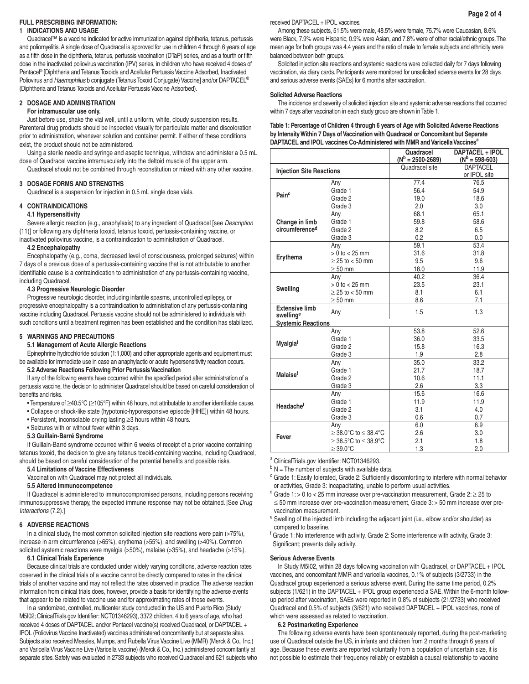### **FULL PRESCRIBING INFORMATION: 1 INDICATIONS AND USAGE**

Quadracel™ is a vaccine indicated for active immunization against diphtheria, tetanus, pertussis and poliomyelitis. A single dose of Quadracel is approved for use in children 4 through 6 years of age as a fifth dose in the diphtheria, tetanus, pertussis vaccination (DTaP) series, and as a fourth or fifth dose in the inactivated poliovirus vaccination (IPV) series, in children who have received 4 doses of Pentacel® [Diphtheria and Tetanus Toxoids and Acellular Pertussis Vaccine Adsorbed, Inactivated Poliovirus and *Haemophilus* b conjugate (Tetanus Toxoid Conjugate) Vaccine] and/or DAPTACEL® (Diphtheria and Tetanus Toxoids and Acellular Pertussis Vaccine Adsorbed).

# **2 DOSAGE AND ADMINISTRATION**

## **For intramuscular use only.**

Just before use, shake the vial well, until a uniform, white, cloudy suspension results. Parenteral drug products should be inspected visually for particulate matter and discoloration prior to administration, whenever solution and container permit. If either of these conditions exist, the product should not be administered.

Using a sterile needle and syringe and aseptic technique, withdraw and administer a 0.5 mL dose of Quadracel vaccine intramuscularly into the deltoid muscle of the upper arm.

Quadracel should not be combined through reconstitution or mixed with any other vaccine.

## **3 DOSAGE FORMS AND STRENGTHS**

Quadracel is a suspension for injection in 0.5 mL single dose vials.

# **4 CONTRAINDICATIONS**

### **4.1 Hypersensitivity**

Severe allergic reaction (e.g., anaphylaxis) to any ingredient of Quadracel [see *Description* (11)] or following any diphtheria toxoid, tetanus toxoid, pertussis-containing vaccine, or inactivated poliovirus vaccine, is a contraindication to administration of Quadracel.

### **4.2 Encephalopathy**

Encephalopathy (e.g., coma, decreased level of consciousness, prolonged seizures) within 7 days of a previous dose of a pertussis-containing vaccine that is not attributable to another identifiable cause is a contraindication to administration of any pertussis-containing vaccine, including Quadracel.

## **4.3 Progressive Neurologic Disorder**

Progressive neurologic disorder, including infantile spasms, uncontrolled epilepsy, or progressive encephalopathy is a contraindication to administration of any pertussis-containing vaccine including Quadracel. Pertussis vaccine should not be administered to individuals with such conditions until a treatment regimen has been established and the condition has stabilized.

## **5 WARNINGS AND PRECAUTIONS**

### **5.1 Management of Acute Allergic Reactions**

Epinephrine hydrochloride solution (1:1,000) and other appropriate agents and equipment must be available for immediate use in case an anaphylactic or acute hypersensitivity reaction occurs.

# **5.2 Adverse Reactions Following Prior Pertussis Vaccination**

If any of the following events have occurred within the specified period after administration of a pertussis vaccine, the decision to administer Quadracel should be based on careful consideration of benefits and risks.

- Temperature of ≥40.5°C (≥105°F) within 48 hours, not attributable to another identifiable cause.
- Collapse or shock-like state (hypotonic-hyporesponsive episode [HHE]) within 48 hours.
- Persistent, inconsolable crying lasting ≥3 hours within 48 hours.
- Seizures with or without fever within 3 days.

### **5.3 Guillain-Barré Syndrome**

If Guillain-Barré syndrome occurred within 6 weeks of receipt of a prior vaccine containing tetanus toxoid, the decision to give any tetanus toxoid-containing vaccine, including Quadracel, should be based on careful consideration of the potential benefits and possible risks.

### **5.4 Limitations of Vaccine Effectiveness**

Vaccination with Quadracel may not protect all individuals.

### **5.5 Altered Immunocompetence**

If Quadracel is administered to immunocompromised persons, including persons receiving immunosuppressive therapy, the expected immune response may not be obtained. [See *Drug Interactions* (7.2).]

## **6 ADVERSE REACTIONS**

In a clinical study, the most common solicited injection site reactions were pain (>75%), increase in arm circumference (>65%), erythema (>55%), and swelling (>40%). Common solicited systemic reactions were myalgia (>50%), malaise (>35%), and headache (>15%).

# **6.1 Clinical Trials Experience**

Because clinical trials are conducted under widely varying conditions, adverse reaction rates observed in the clinical trials of a vaccine cannot be directly compared to rates in the clinical trials of another vaccine and may not reflect the rates observed in practice. The adverse reaction information from clinical trials does, however, provide a basis for identifying the adverse events that appear to be related to vaccine use and for approximating rates of those events.

In a randomized, controlled, multicenter study conducted in the US and Puerto Rico (Study M5I02; ClinicalTrials.gov Identifier: NCT01346293), 3372 children, 4 to 6 years of age, who had received 4 doses of DAPTACEL and/or Pentacel vaccine(s) received Quadracel, or DAPTACEL + IPOL (Poliovirus Vaccine Inactivated) vaccines administered concomitantly but at separate sites. Subjects also received Measles, Mumps, and Rubella Virus Vaccine Live (MMR) (Merck & Co., Inc.) and Varicella Virus Vaccine Live (Varicella vaccine) (Merck & Co., Inc.) administered concomitantly at separate sites. Safety was evaluated in 2733 subjects who received Quadracel and 621 subjects who

### received DAPTACEL + IPOL vaccines.

Among these subjects, 51.5% were male, 48.5% were female, 75.7% were Caucasian, 8.6% were Black, 7.9% were Hispanic, 0.9% were Asian, and 7.8% were of other racial/ethnic groups. The mean age for both groups was 4.4 years and the ratio of male to female subjects and ethnicity were balanced between both groups.

Solicited injection site reactions and systemic reactions were collected daily for 7 days following vaccination, via diary cards. Participants were monitored for unsolicited adverse events for 28 days and serious adverse events (SAEs) for 6 months after vaccination.

### **Solicited Adverse Reactions**

The incidence and severity of solicited injection site and systemic adverse reactions that occurred within 7 days after vaccination in each study group are shown in Table 1.

### **Table 1: Percentage of Children 4 through 6 years of Age with Solicited Adverse Reactions by Intensity Within 7 Days of Vaccination with Quadracel or Concomitant but Separate DAPTACEL and IPOL vaccines Co-Administered with MMR and Varicella Vaccinesa**

|                                              |                                | Quadracel<br>$(N^b = 2500 - 2689)$ | DAPTACEL + IPOL<br>$(N^b = 598 - 603)$ |  |
|----------------------------------------------|--------------------------------|------------------------------------|----------------------------------------|--|
|                                              |                                | Quadracel site                     | <b>DAPTACEL</b>                        |  |
| <b>Injection Site Reactions</b>              |                                |                                    | or IPOL site                           |  |
|                                              | Any                            | 77.4                               | 76.5                                   |  |
| Painc                                        | Grade 1                        | 56.4                               | 54.9                                   |  |
|                                              | Grade 2                        | 19.0                               | 18.6                                   |  |
|                                              | Grade 3                        | 2.0                                | 3.0                                    |  |
| Change in limb<br>circumference <sup>d</sup> | Any                            | 68.1                               | 65.1                                   |  |
|                                              | Grade 1                        | 59.8                               | 58.6                                   |  |
|                                              | Grade 2                        | 8.2                                | 6.5                                    |  |
|                                              | Grade 3                        | 0.2                                | 0.0                                    |  |
|                                              | Any                            | 59.1                               | 53.4                                   |  |
|                                              | $> 0$ to $< 25$ mm             | 31.6                               | 31.8                                   |  |
| Erythema                                     | $\geq$ 25 to < 50 mm           | 9.5                                | 9.6                                    |  |
|                                              | $\geq$ 50 mm                   | 18.0                               | 11.9                                   |  |
|                                              | Any                            | 40.2                               | 36.4                                   |  |
| Swelling                                     | $> 0$ to $< 25$ mm             | 23.5                               | 23.1                                   |  |
|                                              | $\geq$ 25 to < 50 mm           | 8.1                                | 6.1                                    |  |
|                                              | $\geq 50$ mm                   | 8.6                                | 7.1                                    |  |
| <b>Extensive limb</b><br>swellinge           | Any                            | 1.5                                | 1.3                                    |  |
| <b>Systemic Reactions</b>                    |                                |                                    |                                        |  |
|                                              | Any                            | 53.8                               | 52.6                                   |  |
| Myalgiaf                                     | Grade 1                        | 36.0                               | 33.5                                   |  |
|                                              | Grade 2                        | 15.8                               | 16.3                                   |  |
|                                              | Grade 3                        | 1.9                                | 2.8                                    |  |
|                                              | Any                            | 35.0                               | 33.2                                   |  |
| Malaisef                                     | Grade 1                        | 21.7                               | 18.7                                   |  |
|                                              | Grade 2                        | 10.6                               | 11.1                                   |  |
|                                              | Grade 3                        | 2.6                                | 3.3                                    |  |
| Headache <sup>f</sup>                        | Any                            | 15.6                               | 16.6                                   |  |
|                                              | Grade 1                        | 11.9                               | 11.9                                   |  |
|                                              | Grade 2                        | 3.1                                | 4.0                                    |  |
|                                              | Grade 3                        | 0.6                                | 0.7                                    |  |
|                                              | Any                            | 6.0                                | 6.9                                    |  |
| Fever                                        | $\geq$ 38.0°C to $\leq$ 38.4°C | 2.6                                | 3.0                                    |  |
|                                              | $\geq$ 38.5°C to $\leq$ 38.9°C | 2.1                                | 1.8                                    |  |
|                                              | $\geq 39.0$ °C                 | 1.3                                | 2.0                                    |  |

a ClinicalTrials.gov Identifier: NCT01346293.

 $b$  N = The number of subjects with available data.

<sup>c</sup> Grade 1: Easily tolerated, Grade 2: Sufficiently discomforting to interfere with normal behavior or activities, Grade 3: Incapacitating, unable to perform usual activities.

- d Grade 1: > 0 to < 25 mm increase over pre-vaccination measurement, Grade 2:  $\geq$  25 to
- $\leq$  50 mm increase over pre-vaccination measurement, Grade 3: > 50 mm increase over prevaccination measurement.
- e Swelling of the injected limb including the adjacent joint (i.e., elbow and/or shoulder) as compared to baseline.

f Grade 1: No interference with activity, Grade 2: Some interference with activity, Grade 3: Significant; prevents daily activity.

### **Serious Adverse Events**

In Study M5I02, within 28 days following vaccination with Quadracel, or DAPTACEL + IPOL vaccines, and concomitant MMR and varicella vaccines, 0.1% of subjects (3/2733) in the Quadracel group experienced a serious adverse event. During the same time period, 0.2% subjects (1/621) in the DAPTACEL + IPOL group experienced a SAE. Within the 6-month followup period after vaccination, SAEs were reported in 0.8% of subjects (21/2733) who received Quadracel and 0.5% of subjects (3/621) who received DAPTACEL + IPOL vaccines, none of which were assessed as related to vaccination.

### **6.2 Postmarketing Experience**

The following adverse events have been spontaneously reported, during the post-marketing use of Quadracel outside the US, in infants and children from 2 months through 6 years of age. Because these events are reported voluntarily from a population of uncertain size, it is not possible to estimate their frequency reliably or establish a causal relationship to vaccine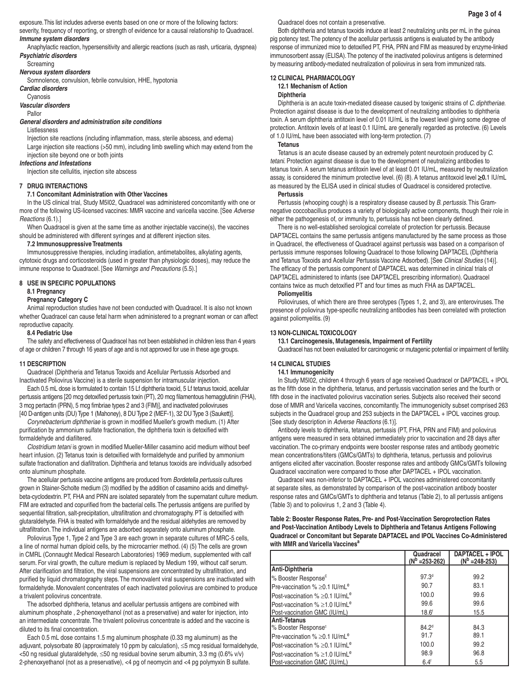exposure. This list includes adverse events based on one or more of the following factors:

severity, frequency of reporting, or strength of evidence for a causal relationship to Quadracel. *Immune system disorders* 

 Anaphylactic reaction, hypersensitivity and allergic reactions (such as rash, urticaria, dyspnea) *Psychiatric disorders*

### **Screaming**

## *Nervous system disorders*

Somnolence, convulsion, febrile convulsion, HHE, hypotonia

# *Cardiac disorders*

Cyanosis

# *Vascular disorders*

Pallor

# *General disorders and administration site conditions*

Listlessness

Injection site reactions (including inflammation, mass, sterile abscess, and edema) Large injection site reactions (>50 mm), including limb swelling which may extend from the injection site beyond one or both joints

#### *Infections and Infestations*

Injection site cellulitis, injection site abscess

### **7 DRUG INTERACTIONS**

## **7.1 Concomitant Administration with Other Vaccines**

In the US clinical trial, Study M5I02, Quadracel was administered concomitantly with one or more of the following US-licensed vaccines: MMR vaccine and varicella vaccine. [See *Adverse Reactions* (6.1).]

When Quadracel is given at the same time as another injectable vaccine(s), the vaccines should be administered with different syringes and at different injection sites.

### **7.2 Immunosuppressive Treatments**

Immunosuppressive therapies, including irradiation, antimetabolites, alkylating agents, cytotoxic drugs and corticosteroids (used in greater than physiologic doses), may reduce the immune response to Quadracel. [See *Warnings and Precautions* (5.5).]

### **8 USE IN SPECIFIC POPULATIONS**

### **8.1 Pregnancy**

### **Pregnancy Category C**

Animal reproduction studies have not been conducted with Quadracel. It is also not known whether Quadracel can cause fetal harm when administered to a pregnant woman or can affect reproductive capacity.

### **8.4 Pediatric Use**

The safety and effectiveness of Quadracel has not been established in children less than 4 years of age or children 7 through 16 years of age and is not approved for use in these age groups.

#### **11 DESCRIPTION**

Quadracel (Diphtheria and Tetanus Toxoids and Acellular Pertussis Adsorbed and Inactivated Poliovirus Vaccine) is a sterile suspension for intramuscular injection.

Each 0.5 mL dose is formulated to contain 15 Lf diphtheria toxoid, 5 Lf tetanus toxoid, acellular pertussis antigens [20 mcg detoxified pertussis toxin (PT), 20 mcg filamentous hemagglutinin (FHA), 3 mcg pertactin (PRN), 5 mcg fimbriae types 2 and 3 (FIM)], and inactivated polioviruses [40 D-antigen units (DU) Type 1 (Mahoney), 8 DU Type 2 (MEF-1), 32 DU Type 3 (Saukett)].

*Corynebacterium diphtheriae* is grown in modified Mueller's growth medium. (1) After purification by ammonium sulfate fractionation, the diphtheria toxin is detoxified with formaldehyde and diafiltered.

*Clostridium tetani* is grown in modified Mueller-Miller casamino acid medium without beef heart infusion. (2) Tetanus toxin is detoxified with formaldehyde and purified by ammonium sulfate fractionation and diafiltration. Diphtheria and tetanus toxoids are individually adsorbed onto aluminum phosphate.

The acellular pertussis vaccine antigens are produced from *Bordetella pertussis* cultures grown in Stainer-Scholte medium (3) modified by the addition of casamino acids and dimethylbeta-cyclodextrin. PT, FHA and PRN are isolated separately from the supernatant culture medium. FIM are extracted and copurified from the bacterial cells. The pertussis antigens are purified by sequential filtration, salt-precipitation, ultrafiltration and chromatography. PT is detoxified with glutaraldehyde. FHA is treated with formaldehyde and the residual aldehydes are removed by ultrafiltration. The individual antigens are adsorbed separately onto aluminum phosphate.

Poliovirus Type 1, Type 2 and Type 3 are each grown in separate cultures of MRC-5 cells, a line of normal human diploid cells, by the microcarrier method. (4) (5) The cells are grown in CMRL (Connaught Medical Research Laboratories) 1969 medium, supplemented with calf serum. For viral growth, the culture medium is replaced by Medium 199, without calf serum. After clarification and filtration, the viral suspensions are concentrated by ultrafiltration, and purified by liquid chromatography steps. The monovalent viral suspensions are inactivated with formaldehyde. Monovalent concentrates of each inactivated poliovirus are combined to produce a trivalent poliovirus concentrate.

The adsorbed diphtheria, tetanus and acellular pertussis antigens are combined with aluminum phosphate , 2-phenoxyethanol (not as a preservative) and water for injection, into an intermediate concentrate. The trivalent poliovirus concentrate is added and the vaccine is diluted to its final concentration.

Each 0.5 mL dose contains 1.5 mg aluminum phosphate (0.33 mg aluminum) as the adjuvant, polysorbate 80 (approximately 10 ppm by calculation), ≤5 mcg residual formaldehyde, <50 ng residual glutaraldehyde, ≤50 ng residual bovine serum albumin, 3.3 mg (0.6% v/v) 2-phenoxyethanol (not as a preservative), <4 pg of neomycin and <4 pg polymyxin B sulfate.

Quadracel does not contain a preservative.

Both diphtheria and tetanus toxoids induce at least 2 neutralizing units per mL in the guinea pig potency test. The potency of the acellular pertussis antigens is evaluated by the antibody response of immunized mice to detoxified PT, FHA, PRN and FIM as measured by enzyme-linked immunosorbent assay (ELISA). The potency of the inactivated poliovirus antigens is determined by measuring antibody-mediated neutralization of poliovirus in sera from immunized rats.

# **12 CLINICAL PHARMACOLOGY**

**12.1 Mechanism of Action**

## **Diphtheria**

Diphtheria is an acute toxin-mediated disease caused by toxigenic strains of *C. diphtheriae*. Protection against disease is due to the development of neutralizing antibodies to diphtheria toxin. A serum diphtheria antitoxin level of 0.01 IU/mL is the lowest level giving some degree of protection. Antitoxin levels of at least 0.1 IU/mL are generally regarded as protective. (6) Levels of 1.0 IU/mL have been associated with long-term protection. (7)

#### **Tetanus**

Tetanus is an acute disease caused by an extremely potent neurotoxin produced by *C. tetani*. Protection against disease is due to the development of neutralizing antibodies to tetanus toxin. A serum tetanus antitoxin level of at least 0.01 IU/mL, measured by neutralization assay, is considered the minimum protective level. (6) (8). A tetanus antitoxoid level **0.**1 IU/mL as measured by the ELISA used in clinical studies of Quadracel is considered protective.

### **Pertussis**

Pertussis (whooping cough) is a respiratory disease caused by *B. pertussis*. This Gramnegative coccobacillus produces a variety of biologically active components, though their role in either the pathogenesis of, or immunity to, pertussis has not been clearly defined.

There is no well-established serological correlate of protection for pertussis. Because DAPTACEL contains the same pertussis antigens manufactured by the same process as those in Quadracel, the effectiveness of Quadracel against pertussis was based on a comparison of pertussis immune responses following Quadracel to those following DAPTACEL (Diphtheria and Tetanus Toxoids and Acellular Pertussis Vaccine Adsorbed). [See *Clinical Studies* (14)]. The efficacy of the pertussis component of DAPTACEL was determined in clinical trials of DAPTACEL administered to infants (see DAPTACEL prescribing information). Quadracel contains twice as much detoxified PT and four times as much FHA as DAPTACEL.

### **Poliomyelitis**

Polioviruses, of which there are three serotypes (Types 1, 2, and 3), are enteroviruses. The presence of poliovirus type-specific neutralizing antibodies has been correlated with protection against poliomyelitis. (9)

### **13 NON-CLINICAL TOXICOLOGY**

**13.1 Carcinogenesis, Mutagenesis, Impairment of Fertility**

Quadracel has not been evaluated for carcinogenic or mutagenic potential or impairment of fertility.

## **14 CLINICAL STUDIES**

## **14.1 Immunogenicity**

In Study M5I02, children 4 through 6 years of age received Quadracel or DAPTACEL + IPOL as the fifth dose in the diphtheria, tetanus, and pertussis vaccination series and the fourth or fifth dose in the inactivated poliovirus vaccination series. Subjects also received their second dose of MMR and Varicella vaccines, concomitantly. The immunogenicity subset comprised 263 subjects in the Quadracel group and 253 subjects in the DAPTACEL + IPOL vaccines group. [See study description in *Adverse Reactions* (6.1)].

Antibody levels to diphtheria, tetanus, pertussis (PT, FHA, PRN and FIM) and poliovirus antigens were measured in sera obtained immediately prior to vaccination and 28 days after vaccination. The co-primary endpoints were booster response rates and antibody geometric mean concentrations/titers (GMCs/GMTs) to diphtheria, tetanus, pertussis and poliovirus antigens elicited after vaccination. Booster response rates and antibody GMCs/GMTs following Quadracel vaccination were compared to those after DAPTACEL + IPOL vaccination.

Quadracel was non-inferior to DAPTACEL + IPOL vaccines administered concomitantly at separate sites, as demonstrated by comparison of the post-vaccination antibody booster response rates and GMCs/GMTs to diphtheria and tetanus (Table 2), to all pertussis antigens (Table 3) and to poliovirus 1, 2 and 3 (Table 4).

## **Table 2: Booster Response Rates, Pre- and Post-Vaccination Seroprotection Rates and Post-Vaccination Antibody Levels to Diphtheria and Tetanus Antigens Following Quadracel or Concomitant but Separate DAPTACEL and IPOL Vaccines Co-Administered with MMR and Varicella Vaccines**<sup>8</sup>

|                                                  | Quadracel<br>$(N^{\rm p} = 253 - 262)$ | DAPTACEL + IPOL<br>$(N^b = 248 - 253)$ |
|--------------------------------------------------|----------------------------------------|----------------------------------------|
| Anti-Diphtheria                                  |                                        |                                        |
| % Booster Response <sup>c</sup>                  | 97.3 <sup>d</sup>                      | 99.2                                   |
| Pre-vaccination % $\geq$ 0.1 IU/mL <sup>e</sup>  | 90.7                                   | 83.1                                   |
| Post-vaccination $\% > 0.1$ IU/mL <sup>e</sup>   | 100.0                                  | 99.6                                   |
| Post-vaccination $% \geq 1.0$ IU/mL <sup>e</sup> | 99.6                                   | 99.6                                   |
| Post-vaccination GMC (IU/mL)                     | 18.6 <sup>1</sup>                      | 15.5                                   |
| Anti-Tetanus                                     |                                        |                                        |
| Ⅰ% Booster Response <sup>c</sup>                 | 84.2 <sup>d</sup>                      | 84.3                                   |
| Pre-vaccination % $\geq$ 0.1 IU/mL <sup>e</sup>  | 91.7                                   | 89.1                                   |
| Post-vaccination % $\geq$ 0.1 IU/mL <sup>e</sup> | 100.0                                  | 99.2                                   |
| Post-vaccination $% \geq 1.0$ IU/mL <sup>e</sup> | 98.9                                   | 96.8                                   |
| Post-vaccination GMC (IU/mL)                     | 6.4 <sup>†</sup>                       | 5.5                                    |